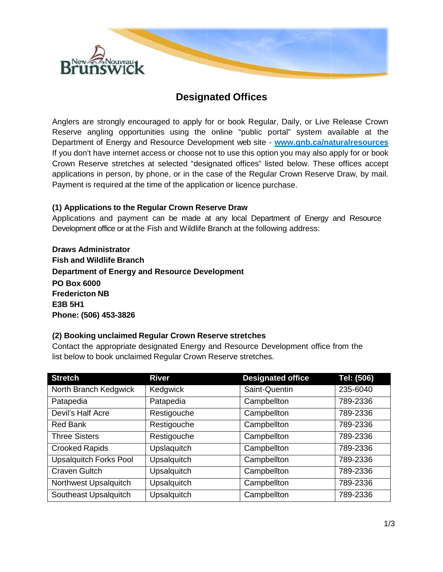

# **Designated Offices**

Anglers are strongly encouraged to apply for or book Regular, Daily, or Live Release Crown Reserve angling opportunities using the online "public portal" system available at the Department of Energy and Resource Development web site - **[www.gnb.ca/naturalresources](http://www.gnb.ca/naturalresources)** If you don't have internet access or choose not to use this option you may also apply for or book Crown Reserve stretches at selected "designated offices" listed below. These offices accept applications in person, by phone, or in the case of the Regular Crown Reserve Draw, by mail. Payment is required at the time of the application or licence purchase.

### **(1) Applications to the Regular Crown Reserve Draw**

Applications and payment can be made at any local Department of Energy and Resource Development office or at the Fish and Wildlife Branch at the following address:

**Draws Administrator Fish and Wildlife Branch Department of Energy and Resource Development PO Box 6000 Fredericton NB E3B 5H1 Phone: (506) 453-3826**

#### **(2) Booking unclaimed Regular Crown Reserve stretches**

Contact the appropriate designated Energy and Resource Development office from the list below to book unclaimed Regular Crown Reserve stretches.

| <b>Stretch</b>                | <b>River</b>       | <b>Designated office</b> | Tel: (506) |
|-------------------------------|--------------------|--------------------------|------------|
| North Branch Kedgwick         | Kedgwick           | Saint-Quentin            | 235-6040   |
| Patapedia                     | Patapedia          | Campbellton              | 789-2336   |
| Devil's Half Acre             | Restigouche        | Campbellton              | 789-2336   |
| <b>Red Bank</b>               | Restigouche        | Campbellton              | 789-2336   |
| <b>Three Sisters</b>          | Restigouche        | Campbellton              | 789-2336   |
| <b>Crooked Rapids</b>         | Upslaquitch        | Campbellton              | 789-2336   |
| <b>Upsalquitch Forks Pool</b> | <b>Upsalquitch</b> | Campbellton              | 789-2336   |
| <b>Craven Gultch</b>          | <b>Upsalquitch</b> | Campbellton              | 789-2336   |
| Northwest Upsalquitch         | <b>Upsalquitch</b> | Campbellton              | 789-2336   |
| Southeast Upsalquitch         | <b>Upsalquitch</b> | Campbellton              | 789-2336   |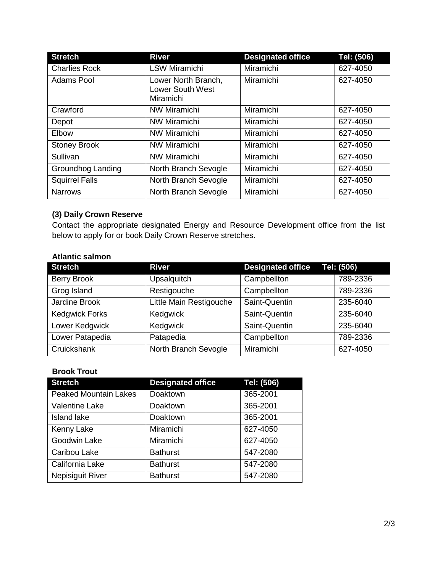| <b>Stretch</b>        | <b>River</b>                                         | <b>Designated office</b> | Tel: (506) |
|-----------------------|------------------------------------------------------|--------------------------|------------|
| <b>Charlies Rock</b>  | <b>LSW Miramichi</b>                                 | Miramichi                | 627-4050   |
| <b>Adams Pool</b>     | Lower North Branch,<br>Lower South West<br>Miramichi | Miramichi                | 627-4050   |
| Crawford              | <b>NW Miramichi</b>                                  | Miramichi                | 627-4050   |
| Depot                 | NW Miramichi                                         | Miramichi                | 627-4050   |
| Elbow                 | <b>NW Miramichi</b>                                  | Miramichi                | 627-4050   |
| <b>Stoney Brook</b>   | NW Miramichi                                         | Miramichi                | 627-4050   |
| Sullivan              | <b>NW Miramichi</b>                                  | Miramichi                | 627-4050   |
| Groundhog Landing     | North Branch Sevogle                                 | Miramichi                | 627-4050   |
| <b>Squirrel Falls</b> | North Branch Sevogle                                 | Miramichi                | 627-4050   |
| <b>Narrows</b>        | North Branch Sevogle                                 | Miramichi                | 627-4050   |

# **(3) Daily Crown Reserve**

Contact the appropriate designated Energy and Resource Development office from the list below to apply for or book Daily Crown Reserve stretches.

# **Atlantic salmon**

| <b>Stretch</b>        | <b>River</b>            | <b>Designated office</b> | Tel: (506) |
|-----------------------|-------------------------|--------------------------|------------|
| <b>Berry Brook</b>    | Upsalquitch             | Campbellton              | 789-2336   |
| Grog Island           | Restigouche             | Campbellton              | 789-2336   |
| Jardine Brook         | Little Main Restigouche | Saint-Quentin            | 235-6040   |
| <b>Kedgwick Forks</b> | Kedgwick                | Saint-Quentin            | 235-6040   |
| Lower Kedgwick        | Kedgwick                | Saint-Quentin            | 235-6040   |
| Lower Patapedia       | Patapedia               | Campbellton              | 789-2336   |
| Cruickshank           | North Branch Sevogle    | Miramichi                | 627-4050   |

### **Brook Trout**

| <b>Stretch</b>               | <b>Designated office</b> | Tel: (506) |
|------------------------------|--------------------------|------------|
| <b>Peaked Mountain Lakes</b> | Doaktown                 | 365-2001   |
| Valentine Lake               | Doaktown                 | 365-2001   |
| <b>Island lake</b>           | Doaktown                 | 365-2001   |
| Kenny Lake                   | Miramichi                | 627-4050   |
| Goodwin Lake                 | Miramichi                | 627-4050   |
| Caribou Lake                 | <b>Bathurst</b>          | 547-2080   |
| California Lake              | <b>Bathurst</b>          | 547-2080   |
| <b>Nepisiguit River</b>      | <b>Bathurst</b>          | 547-2080   |